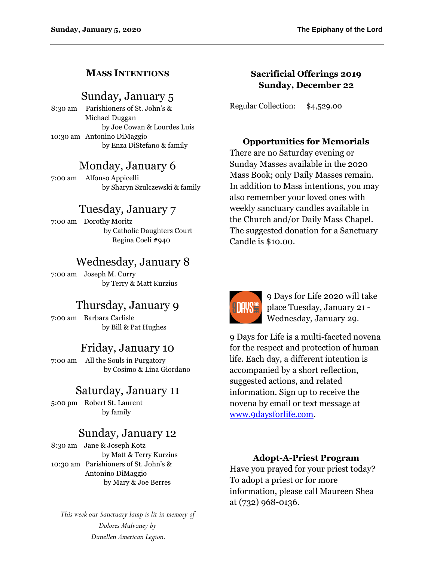### **MASS INTENTIONS**

## Sunday, January 5

8:30 am Parishioners of St. John's & Michael Duggan by Joe Cowan & Lourdes Luis 10:30 am Antonino DiMaggio by Enza DiStefano & family

# Monday, January 6

7:00 am Alfonso Appicelli by Sharyn Szulczewski & family

# Tuesday, January 7

7:00 am Dorothy Moritz by Catholic Daughters Court Regina Coeli #940

# Wednesday, January 8

7:00 am Joseph M. Curry by Terry & Matt Kurzius

# Thursday, January 9

7:00 am Barbara Carlisle by Bill & Pat Hughes

## Friday, January 10

7:00 am All the Souls in Purgatory by Cosimo & Lina Giordano

# Saturday, January 11

5:00 pm Robert St. Laurent by family

# Sunday, January 12

8:30 am Jane & Joseph Kotz by Matt & Terry Kurzius 10:30 am Parishioners of St. John's & Antonino DiMaggio by Mary & Joe Berres

*This week our Sanctuary lamp is lit in memory of Dolores Mulvaney by Dunellen American Legion.*

### **Sacrificial Offerings 2019 Sunday, December 22**

Regular Collection: \$4,529.00

#### **Opportunities for Memorials**

There are no Saturday evening or Sunday Masses available in the 2020 Mass Book; only Daily Masses remain. In addition to Mass intentions, you may also remember your loved ones with weekly sanctuary candles available in the Church and/or Daily Mass Chapel. The suggested donation for a Sanctuary Candle is \$10.00.



9 Days for Life 2020 will take place Tuesday, January 21 - Wednesday, January 29.

9 Days for Life is a multi-faceted novena for the respect and protection of human life. Each day, a different intention is accompanied by a short reflection, suggested actions, and related information. Sign up to receive the novena by email or text message at [www.9daysforlife.com.](http://www.9daysforlife.com/)

### **Adopt-A-Priest Program**

Have you prayed for your priest today? To adopt a priest or for more information, please call Maureen Shea at (732) 968-0136.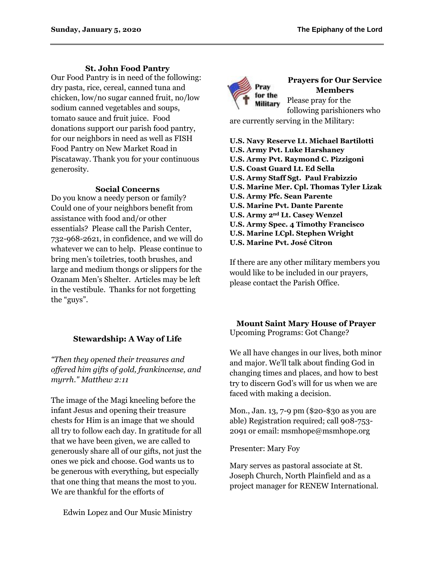### **St. John Food Pantry**

Our Food Pantry is in need of the following: dry pasta, rice, cereal, canned tuna and chicken, low/no sugar canned fruit, no/low sodium canned vegetables and soups, tomato sauce and fruit juice. Food donations support our parish food pantry, for our neighbors in need as well as FISH Food Pantry on New Market Road in Piscataway. Thank you for your continuous generosity.

#### **Social Concerns**

Do you know a needy person or family? Could one of your neighbors benefit from assistance with food and/or other essentials? Please call the Parish Center, 732-968-2621, in confidence, and we will do whatever we can to help. Please continue to bring men's toiletries, tooth brushes, and large and medium thongs or slippers for the Ozanam Men's Shelter. Articles may be left in the vestibule. Thanks for not forgetting the "guys".

### **Stewardship: A Way of Life**

*"Then they opened their treasures and offered him gifts of gold, frankincense, and myrrh." Matthew 2:11*

The image of the Magi kneeling before the infant Jesus and opening their treasure chests for Him is an image that we should all try to follow each day. In gratitude for all that we have been given, we are called to generously share all of our gifts, not just the ones we pick and choose. God wants us to be generous with everything, but especially that one thing that means the most to you. We are thankful for the efforts of

Edwin Lopez and Our Music Ministry



#### **Prayers for Our Service Members** Please pray for the following parishioners who

are currently serving in the Military:

**U.S. Navy Reserve Lt. Michael Bartilotti U.S. Army Pvt. Luke Harshaney U.S. Army Pvt. Raymond C. Pizzigoni U.S. Coast Guard Lt. Ed Sella U.S. Army Staff Sgt. Paul Frabizzio U.S. Marine Mer. Cpl. Thomas Tyler Lizak U.S. Army Pfc. Sean Parente U.S. Marine Pvt. Dante Parente U.S. Army 2nd Lt. Casey Wenzel U.S. Army Spec. 4 Timothy Francisco U.S. Marine LCpl. Stephen Wright U.S. Marine Pvt. José Citron**

If there are any other military members you would like to be included in our prayers, please contact the Parish Office.

#### **Mount Saint Mary House of Prayer** Upcoming Programs: Got Change?

We all have changes in our lives, both minor and major. We'll talk about finding God in changing times and places, and how to best try to discern God's will for us when we are faced with making a decision.

Mon., Jan. 13, 7-9 pm (\$20-\$30 as you are able) Registration required; call 908-753- 2091 or email: msmhope@msmhope.org

Presenter: Mary Foy

Mary serves as pastoral associate at St. Joseph Church, North Plainfield and as a project manager for RENEW International.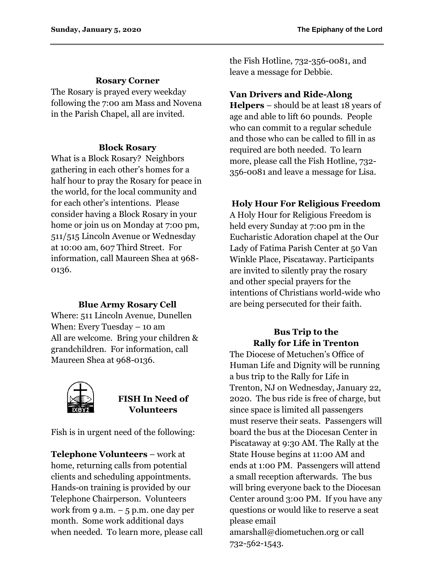### **Rosary Corner**

The Rosary is prayed every weekday following the 7:00 am Mass and Novena in the Parish Chapel, all are invited.

### **Block Rosary**

What is a Block Rosary? Neighbors gathering in each other's homes for a half hour to pray the Rosary for peace in the world, for the local community and for each other's intentions. Please consider having a Block Rosary in your home or join us on Monday at 7:00 pm, 511/515 Lincoln Avenue or Wednesday at 10:00 am, 607 Third Street. For information, call Maureen Shea at 968- 0136.

### **Blue Army Rosary Cell**

Where: 511 Lincoln Avenue, Dunellen When: Every Tuesday – 10 am All are welcome. Bring your children & grandchildren. For information, call Maureen Shea at 968-0136.



## **FISH In Need of Volunteers**

Fish is in urgent need of the following:

**Telephone Volunteers** – work at home, returning calls from potential clients and scheduling appointments. Hands-on training is provided by our Telephone Chairperson. Volunteers work from 9 a.m.  $-5$  p.m. one day per month. Some work additional days when needed. To learn more, please call the Fish Hotline, 732-356-0081, and leave a message for Debbie.

## **Van Drivers and Ride-Along**

**Helpers** – should be at least 18 years of age and able to lift 60 pounds. People who can commit to a regular schedule and those who can be called to fill in as required are both needed. To learn more, please call the Fish Hotline, 732- 356-0081 and leave a message for Lisa.

## **Holy Hour For Religious Freedom**

A Holy Hour for Religious Freedom is held every Sunday at 7:00 pm in the Eucharistic Adoration chapel at the Our Lady of Fatima Parish Center at 50 Van Winkle Place, Piscataway. Participants are invited to silently pray the rosary and other special prayers for the intentions of Christians world-wide who are being persecuted for their faith.

## **Bus Trip to the Rally for Life in Trenton**

The Diocese of Metuchen's Office of Human Life and Dignity will be running a bus trip to the Rally for Life in Trenton, NJ on Wednesday, January 22, 2020. The bus ride is free of charge, but since space is limited all passengers must reserve their seats. Passengers will board the bus at the Diocesan Center in Piscataway at 9:30 AM. The Rally at the State House begins at 11:00 AM and ends at 1:00 PM. Passengers will attend a small reception afterwards. The bus will bring everyone back to the Diocesan Center around 3:00 PM. If you have any questions or would like to reserve a seat please email amarshall@diometuchen.org or call 732-562-1543.